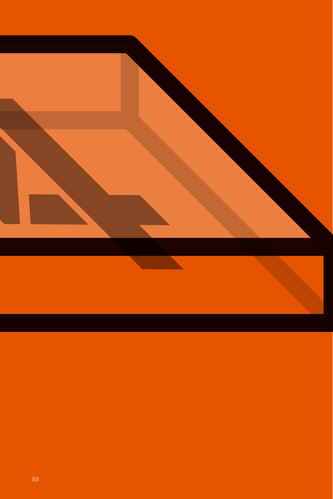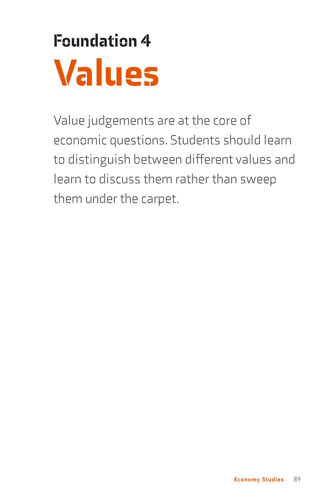# Foundation 4 Values

Value judgements are at the core of economic questions. Students should learn to distinguish between different values and learn to discuss them rather than sweep them under the carpet.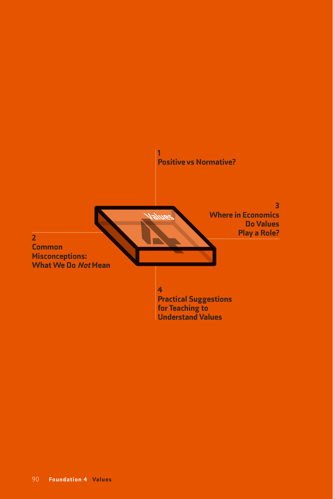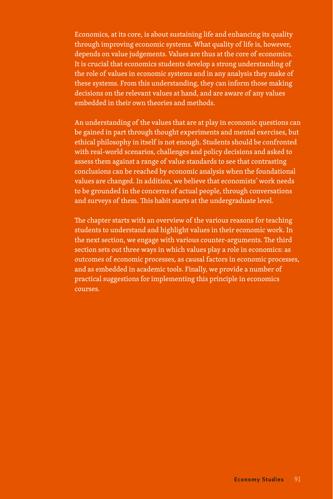Economics, at its core, is about sustaining life and enhancing its quality through improving economic systems. What quality of life is, however, depends on value judgements. Values are thus at the core of economics. It is crucial that economics students develop a strong understanding of the role of values in economic systems and in any analysis they make of these systems. From this understanding, they can inform those making decisions on the relevant values at hand, and are aware of any values embedded in their own theories and methods.

An understanding of the values that are at play in economic questions can be gained in part through thought experiments and mental exercises, but ethical philosophy in itself is not enough. Students should be confronted with real-world scenarios, challenges and policy decisions and asked to assess them against a range of value standards to see that contrasting conclusions can be reached by economic analysis when the foundational values are changed. In addition, we believe that economists' work needs to be grounded in the concerns of actual people, through conversations and surveys of them. This habit starts at the undergraduate level.

The chapter starts with an overview of the various reasons for teaching students to understand and highlight values in their economic work. In the next section, we engage with various counter-arguments. The third section sets out three ways in which values play a role in economics: as outcomes of economic processes, as causal factors in economic processes, and as embedded in academic tools. Finally, we provide a number of practical suggestions for implementing this principle in economics courses.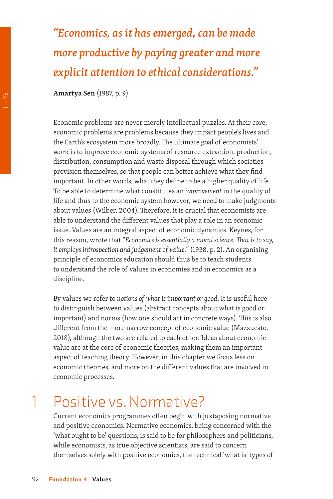### *"Economics, as it has emerged, can be made more productive by paying greater and more explicit attention to ethical considerations."*

**Amartya Sen** (1987, p. 9)

Economic problems are never merely intellectual puzzles. At their core, economic problems are problems because they impact people's lives and the Earth's ecosystem more broadly. The ultimate goal of economists' work is to improve economic systems of resource extraction, production, distribution, consumption and waste disposal through which societies provision themselves, so that people can better achieve what they find important. In other words, what they define to be a higher quality of life. To be able to determine what constitutes an *improvement* in the quality of life and thus to the economic system however, we need to make judgments about values (Wilber, 2004). Therefore, it is crucial that economists are able to understand the different values that play a role in an economic issue. Values are an integral aspect of economic dynamics. Keynes, for this reason, wrote that *"Economics is essentially a moral science. That is to say, it employs introspection and judgement of value."* (1938, p. 2). An organising principle of economics education should thus be to teach students to understand the role of values in economies and in economics as a discipline.

By values we refer to *notions of what is important or good*. It is useful here to distinguish between values (abstract concepts about what is good or important) and norms (how one should act in concrete ways). This is also different from the more narrow concept of economic value (Mazzucato, 2018), although the two are related to each other. Ideas about economic value are at the core of economic theories, making them an important aspect of teaching theory. However, in this chapter we focus less on economic theories, and more on the different values that are involved in economic processes.

### 1 Positive vs. Normative?

Current economics programmes often begin with juxtaposing normative and positive economics. Normative economics, being concerned with the 'what ought to be' questions, is said to be for philosophers and politicians, while economists, as true objective scientists, are said to concern themselves solely with positive economics, the technical 'what is' types of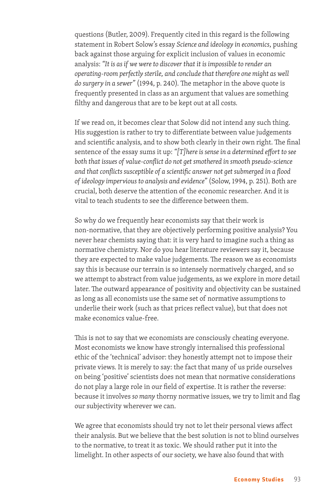questions (Butler, 2009). Frequently cited in this regard is the following statement in Robert Solow's essay *Science and ideology in economics*, pushing back against those arguing for explicit inclusion of values in economic analysis: *"It is as if we were to discover that it is impossible to render an operating-room perfectly sterile, and conclude that therefore one might as well do surgery in a sewer"* (1994, p. 240). The metaphor in the above quote is frequently presented in class as an argument that values are something filthy and dangerous that are to be kept out at all costs.

If we read on, it becomes clear that Solow did not intend any such thing. His suggestion is rather to try to differentiate between value judgements and scientific analysis, and to show both clearly in their own right. The final sentence of the essay sums it up: *"[T]here is sense in a determined effort to see both that issues of value-conflict do not get smothered in smooth pseudo-science and that conflicts susceptible of a scientific answer not get submerged in a flood of ideology impervious to analysis and evidence"* (Solow, 1994, p. 251). Both are crucial, both deserve the attention of the economic researcher. And it is vital to teach students to see the difference between them.

So why do we frequently hear economists say that their work is non-normative, that they are objectively performing positive analysis? You never hear chemists saying that: it is very hard to imagine such a thing as normative chemistry. Nor do you hear literature reviewers say it, because they are expected to make value judgements. The reason we as economists say this is because our terrain is so intensely normatively charged, and so we attempt to abstract from value judgements, as we explore in more detail later. The outward appearance of positivity and objectivity can be sustained as long as all economists use the same set of normative assumptions to underlie their work (such as that prices reflect value), but that does not make economics value-free.

This is not to say that we economists are consciously cheating everyone. Most economists we know have strongly internalised this professional ethic of the 'technical' advisor: they honestly attempt not to impose their private views. It is merely to say: the fact that many of us pride ourselves on being 'positive' scientists does not mean that normative considerations do not play a large role in our field of expertise. It is rather the reverse: because it involves *so many* thorny normative issues, we try to limit and flag our subjectivity wherever we can.

We agree that economists should try not to let their personal views affect their analysis. But we believe that the best solution is not to blind ourselves to the normative, to treat it as toxic. We should rather put it into the limelight. In other aspects of our society, we have also found that with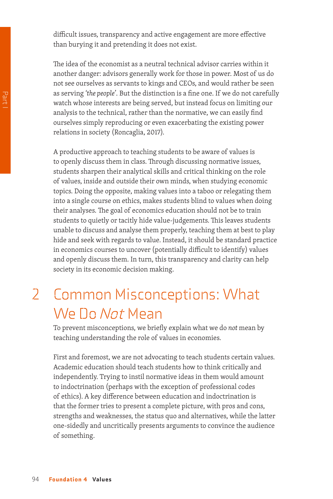difficult issues, transparency and active engagement are more effective than burying it and pretending it does not exist.

The idea of the economist as a neutral technical advisor carries within it another danger: advisors generally work for those in power. Most of us do not see ourselves as servants to kings and CEOs, and would rather be seen as serving *'the people'*. But the distinction is a fine one. If we do not carefully watch whose interests are being served, but instead focus on limiting our analysis to the technical, rather than the normative, we can easily find ourselves simply reproducing or even exacerbating the existing power relations in society (Roncaglia, 2017).

A productive approach to teaching students to be aware of values is to openly discuss them in class. Through discussing normative issues, students sharpen their analytical skills and critical thinking on the role of values, inside and outside their own minds, when studying economic topics. Doing the opposite, making values into a taboo or relegating them into a single course on ethics, makes students blind to values when doing their analyses. The goal of economics education should not be to train students to quietly or tacitly hide value-judgements. This leaves students unable to discuss and analyse them properly, teaching them at best to play hide and seek with regards to value. Instead, it should be standard practice in economics courses to uncover (potentially difficult to identify) values and openly discuss them. In turn, this transparency and clarity can help society in its economic decision making.

## 2 Common Misconceptions: What We Do Not Mean

To prevent misconceptions, we briefly explain what we do *not* mean by teaching understanding the role of values in economies.

First and foremost, we are not advocating to teach students certain values. Academic education should teach students how to think critically and independently. Trying to instil normative ideas in them would amount to indoctrination (perhaps with the exception of professional codes of ethics). A key difference between education and indoctrination is that the former tries to present a complete picture, with pros and cons, strengths and weaknesses, the status quo and alternatives, while the latter one-sidedly and uncritically presents arguments to convince the audience of something.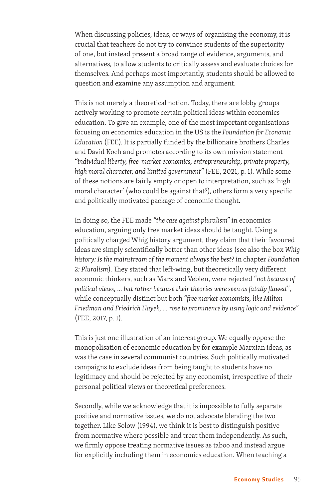When discussing policies, ideas, or ways of organising the economy, it is crucial that teachers do not try to convince students of the superiority of one, but instead present a broad range of evidence, arguments, and alternatives, to allow students to critically assess and evaluate choices for themselves. And perhaps most importantly, students should be allowed to question and examine any assumption and argument.

This is not merely a theoretical notion. Today, there are lobby groups actively working to promote certain political ideas within economics education. To give an example, one of the most important organisations focusing on economics education in the US is the *Foundation for Economic Education* (FEE). It is partially funded by the billionaire brothers Charles and David Koch and promotes according to its own mission statement *"individual liberty, free-market economics, entrepreneurship, private property, high moral character, and limited government"* (FEE, 2021, p. 1). While some of these notions are fairly empty or open to interpretation, such as 'high moral character' (who could be against that?), others form a very specific and politically motivated package of economic thought.

In doing so, the FEE made *"the case against pluralism"* in economics education, arguing only free market ideas should be taught. Using a politically charged Whig history argument, they claim that their favoured ideas are simply scientifically better than other ideas (see also the box *Whig history: Is the mainstream of the moment always the best?* in chapter *Foundation 2: Pluralism*). They stated that left-wing, but theoretically very different economic thinkers, such as Marx and Veblen, were rejected *"not because of political views, … but rather because their theories were seen as fatally flawed"*, while conceptually distinct but both *"free market economists, like Milton Friedman and Friedrich Hayek, … rose to prominence by using logic and evidence"* (FEE, 2017, p. 1).

This is just one illustration of an interest group. We equally oppose the monopolisation of economic education by for example Marxian ideas, as was the case in several communist countries. Such politically motivated campaigns to exclude ideas from being taught to students have no legitimacy and should be rejected by any economist, irrespective of their personal political views or theoretical preferences.

Secondly, while we acknowledge that it is impossible to fully separate positive and normative issues, we do not advocate blending the two together. Like Solow (1994), we think it is best to distinguish positive from normative where possible and treat them independently. As such, we firmly oppose treating normative issues as taboo and instead argue for explicitly including them in economics education. When teaching a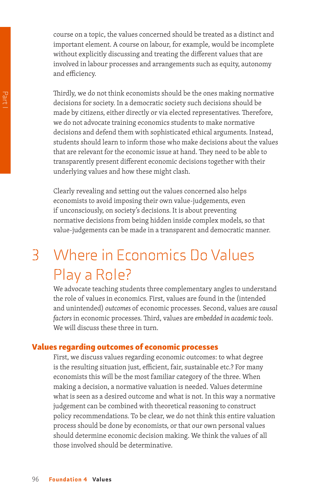course on a topic, the values concerned should be treated as a distinct and important element. A course on labour, for example, would be incomplete without explicitly discussing and treating the different values that are involved in labour processes and arrangements such as equity, autonomy and efficiency.

Thirdly, we do not think economists should be the ones making normative decisions for society. In a democratic society such decisions should be made by citizens, either directly or via elected representatives. Therefore, we do not advocate training economics students to make normative decisions and defend them with sophisticated ethical arguments. Instead, students should learn to inform those who make decisions about the values that are relevant for the economic issue at hand. They need to be able to transparently present different economic decisions together with their underlying values and how these might clash.

Clearly revealing and setting out the values concerned also helps economists to avoid imposing their own value-judgements, even if unconsciously, on society's decisions. It is about preventing normative decisions from being hidden inside complex models, so that value-judgements can be made in a transparent and democratic manner.

### 3 Where in Economics Do Values Play a Role?

We advocate teaching students three complementary angles to understand the role of values in economics. First, values are found in the (intended and unintended) *outcomes* of economic processes. Second, values are *causal factors* in economic processes. Third, values are *embedded in academic tools*. We will discuss these three in turn.

#### Values regarding outcomes of economic processes

First, we discuss values regarding economic outcomes: to what degree is the resulting situation just, efficient, fair, sustainable etc.? For many economists this will be the most familiar category of the three. When making a decision, a normative valuation is needed. Values determine what is seen as a desired outcome and what is not. In this way a normative judgement can be combined with theoretical reasoning to construct policy recommendations. To be clear, we do not think this entire valuation process should be done by economists, or that our own personal values should determine economic decision making. We think the values of all those involved should be determinative.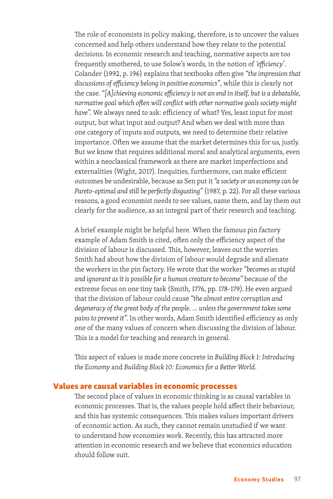The role of economists in policy making, therefore, is to uncover the values concerned and help others understand how they relate to the potential decisions. In economic research and teaching, normative aspects are too frequently smothered, to use Solow's words, in the notion of *'efficiency'*. Colander (1992, p. 196) explains that textbooks often give *"the impression that discussions of efficiency belong in positive economics"*, while this is clearly not the case. *"[A]chieving economic efficiency is not an end in itself, but is a debatable, normative goal which often will conflict with other normative goals society might have".* We always need to ask: efficiency of what? Yes, least input for most output, but what input and output? And when we deal with more than one category of inputs and outputs, we need to determine their relative importance. Often we assume that the market determines this for us, justly. But we know that requires additional moral and analytical arguments, even within a neoclassical framework as there are market imperfections and externalities (Wight, 2017). Inequities, furthermore, can make efficient outcomes be undesirable, because as Sen put it *"a society or an economy can be Pareto-optimal and still be perfectly disgusting"* (1987, p. 22). For all these various reasons, a good economist needs to see values, name them, and lay them out clearly for the audience, as an integral part of their research and teaching.

A brief example might be helpful here. When the famous pin factory example of Adam Smith is cited, often only the efficiency aspect of the division of labour is discussed. This, however, leaves out the worries Smith had about how the division of labour would degrade and alienate the workers in the pin factory. He wrote that the worker *"becomes as stupid and ignorant as it is possible for a human creature to become"* because of the extreme focus on one tiny task (Smith, 1776, pp. 178-179). He even argued that the division of labour could cause *"the almost entire corruption and degeneracy of the great body of the people. … unless the government takes some pains to prevent it".* In other words, Adam Smith identified efficiency as only one of the many values of concern when discussing the division of labour. This is a model for teaching and research in general.

This aspect of values is made more concrete in *Building Block 1: Introducing the Economy* and *Building Block 10: Economics for a Better World*.

#### Values are causal variables in economic processes

The second place of values in economic thinking is as causal variables in economic processes. That is, the values people hold affect their behaviour, and this has systemic consequences. This makes values important drivers of economic action. As such, they cannot remain unstudied if we want to understand how economies work. Recently, this has attracted more attention in economic research and we believe that economics education should follow suit.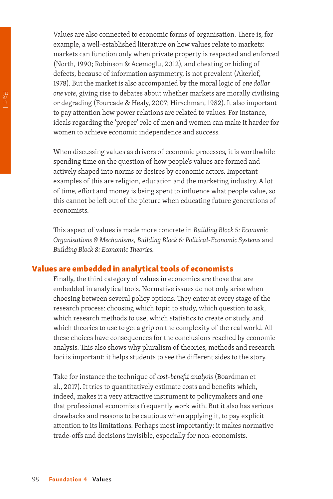Values are also connected to economic forms of organisation. There is, for example, a well-established literature on how values relate to markets: markets can function only when private property is respected and enforced (North, 1990; Robinson & Acemoglu, 2012), and cheating or hiding of defects, because of information asymmetry, is not prevalent (Akerlof, 1978). But the market is also accompanied by the moral logic of *one dollar one vote*, giving rise to debates about whether markets are morally civilising or degrading (Fourcade & Healy, 2007; Hirschman, 1982). It also important to pay attention how power relations are related to values. For instance, ideals regarding the 'proper' role of men and women can make it harder for women to achieve economic independence and success.

When discussing values as drivers of economic processes, it is worthwhile spending time on the question of how people's values are formed and actively shaped into norms or desires by economic actors. Important examples of this are religion, education and the marketing industry. A lot of time, effort and money is being spent to influence what people value, so this cannot be left out of the picture when educating future generations of economists.

This aspect of values is made more concrete in *Building Block 5: Economic Organisations & Mechanisms*, *Building Block 6: Political-Economic Systems* and *Building Block 8: Economic Theories.*

#### Values are embedded in analytical tools of economists

Finally, the third category of values in economics are those that are embedded in analytical tools. Normative issues do not only arise when choosing between several policy options. They enter at every stage of the research process: choosing which topic to study, which question to ask, which research methods to use, which statistics to create or study, and which theories to use to get a grip on the complexity of the real world. All these choices have consequences for the conclusions reached by economic analysis. This also shows why pluralism of theories, methods and research foci is important: it helps students to see the different sides to the story.

Take for instance the technique of *cost-benefit analysis* (Boardman et al., 2017). It tries to quantitatively estimate costs and benefits which, indeed, makes it a very attractive instrument to policymakers and one that professional economists frequently work with. But it also has serious drawbacks and reasons to be cautious when applying it, to pay explicit attention to its limitations. Perhaps most importantly: it makes normative trade-offs and decisions invisible, especially for non-economists.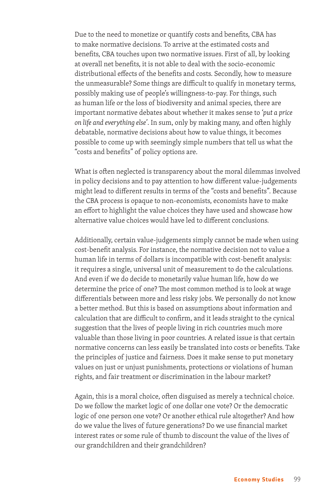Due to the need to monetize or quantify costs and benefits, CBA has to make normative decisions. To arrive at the estimated costs and benefits, CBA touches upon two normative issues. First of all, by looking at overall net benefits, it is not able to deal with the socio-economic distributional effects of the benefits and costs. Secondly, how to measure the unmeasurable? Some things are difficult to qualify in monetary terms, possibly making use of people's willingness-to-pay. For things, such as human life or the loss of biodiversity and animal species, there are important normative debates about whether it makes sense to *'put a price on life and everything else'*. In sum, only by making many, and often highly debatable, normative decisions about how to value things, it becomes possible to come up with seemingly simple numbers that tell us what the "costs and benefits" of policy options are.

What is often neglected is transparency about the moral dilemmas involved in policy decisions and to pay attention to how different value-judgements might lead to different results in terms of the "costs and benefits". Because the CBA process is opaque to non-economists, economists have to make an effort to highlight the value choices they have used and showcase how alternative value choices would have led to different conclusions.

Additionally, certain value-judgements simply cannot be made when using cost-benefit analysis. For instance, the normative decision not to value a human life in terms of dollars is incompatible with cost-benefit analysis: it requires a single, universal unit of measurement to do the calculations. And even if we do decide to monetarily value human life, how do we determine the price of one? The most common method is to look at wage differentials between more and less risky jobs. We personally do not know a better method. But this is based on assumptions about information and calculation that are difficult to confirm, and it leads straight to the cynical suggestion that the lives of people living in rich countries much more valuable than those living in poor countries. A related issue is that certain normative concerns can less easily be translated into costs or benefits. Take the principles of justice and fairness. Does it make sense to put monetary values on just or unjust punishments, protections or violations of human rights, and fair treatment or discrimination in the labour market?

Again, this is a moral choice, often disguised as merely a technical choice. Do we follow the market logic of one dollar one vote? Or the democratic logic of one person one vote? Or another ethical rule altogether? And how do we value the lives of future generations? Do we use financial market interest rates or some rule of thumb to discount the value of the lives of our grandchildren and their grandchildren?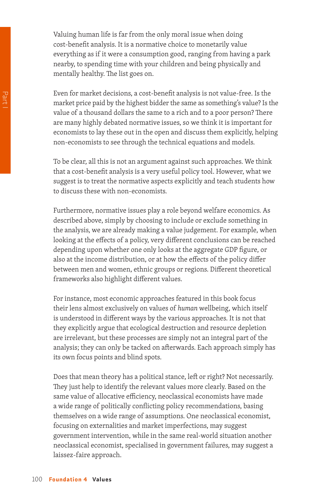Valuing human life is far from the only moral issue when doing cost-benefit analysis. It is a normative choice to monetarily value everything as if it were a consumption good, ranging from having a park nearby, to spending time with your children and being physically and mentally healthy. The list goes on.

Even for market decisions, a cost-benefit analysis is not value-free. Is the market price paid by the highest bidder the same as something's value? Is the value of a thousand dollars the same to a rich and to a poor person? There are many highly debated normative issues, so we think it is important for economists to lay these out in the open and discuss them explicitly, helping non-economists to see through the technical equations and models.

To be clear, all this is not an argument against such approaches. We think that a cost-benefit analysis is a very useful policy tool. However, what we suggest is to treat the normative aspects explicitly and teach students how to discuss these with non-economists.

Furthermore, normative issues play a role beyond welfare economics. As described above, simply by choosing to include or exclude something in the analysis, we are already making a value judgement. For example, when looking at the effects of a policy, very different conclusions can be reached depending upon whether one only looks at the aggregate GDP figure, or also at the income distribution, or at how the effects of the policy differ between men and women, ethnic groups or regions. Different theoretical frameworks also highlight different values.

For instance, most economic approaches featured in this book focus their lens almost exclusively on values of *human* wellbeing, which itself is understood in different ways by the various approaches. It is not that they explicitly argue that ecological destruction and resource depletion are irrelevant, but these processes are simply not an integral part of the analysis; they can only be tacked on afterwards. Each approach simply has its own focus points and blind spots.

Does that mean theory has a political stance, left or right? Not necessarily. They just help to identify the relevant values more clearly. Based on the same value of allocative efficiency, neoclassical economists have made a wide range of politically conflicting policy recommendations, basing themselves on a wide range of assumptions. One neoclassical economist, focusing on externalities and market imperfections, may suggest government intervention, while in the same real-world situation another neoclassical economist, specialised in government failures, may suggest a laissez-faire approach.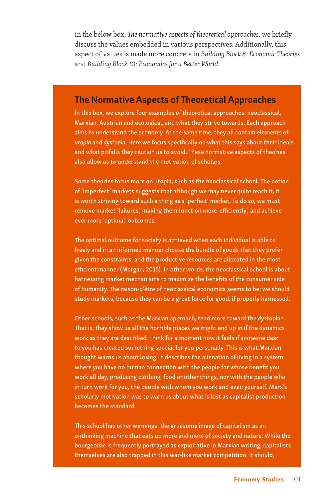In the below box, *The normative aspects of theoretical approaches*, we briefly discuss the values embedded in various perspectives. Additionally, this aspect of values is made more concrete in *Building Block 8: Economic Theories* and *Building Block 10: Economics for a Better World.*

#### The Normative Aspects of Theoretical Approaches

In this box, we explore four examples of theoretical approaches: neoclassical, Marxian, Austrian and ecological, and what they strive towards. Each approach aims to understand the economy. At the same time, they all contain elements of *utopia* and *dystopia.* Here we focus specifically on what this says about their ideals and what pitfalls they caution us to avoid. These normative aspects of theories also allow us to understand the motivation of scholars.

Some theories focus more on utopia, such as the neoclassical school. The notion of 'imperfect' markets suggests that although we may never quite reach it, it is worth striving toward such a thing as a 'perfect' market. To do so, we must remove market 'failures', making them function more 'efficiently', and achieve ever more 'optimal' outcomes.

The optimal outcome for society is achieved when each individual is able to freely and in an informed manner choose the bundle of goods that they prefer given the constraints, and the productive resources are allocated in the most efficient manner (Morgan, 2015). In other words, the neoclassical school is about harnessing market mechanisms to maximize the benefits of the consumer side of humanity. The raison-d'être of neoclassical economics seems to be: we should study markets, because they can be a great force for good, if properly harnessed.

Other schools, such as the Marxian approach, tend more toward the *dys*topian. That is, they show us all the horrible places we might end up in if the dynamics work as they are described. Think for a moment how it feels if someone dear to you has created something special for you personally. This is what Marxian thought warns us about losing. It describes the alienation of living in a system where you have no human connection with the people for whose benefit you work all day, producing clothing, food or other things, nor with the people who in turn work for you, the people with whom you work and even yourself. Marx's scholarly motivation was to warn us about what is lost as capitalist production becomes the standard.

This school has other warnings: the gruesome image of capitalism as an unthinking machine that eats up more and more of society and nature. While the bourgeoisie is frequently portrayed as exploitative in Marxian writing, capitalists themselves are also trapped in this war-like market competition. It should,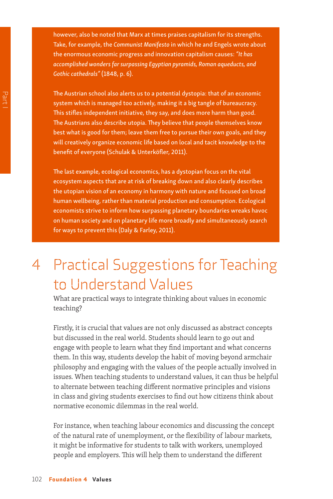however, also be noted that Marx at times praises capitalism for its strengths. Take, for example, the *Communist Manifesto* in which he and Engels wrote about the enormous economic progress and innovation capitalism causes: *"It has accomplished wonders far surpassing Egyptian pyramids, Roman aqueducts, and Gothic cathedrals"* (1848, p. 6).

The Austrian school also alerts us to a potential dystopia: that of an economic system which is managed too actively, making it a big tangle of bureaucracy. This stifles independent initiative, they say, and does more harm than good. The Austrians also describe utopia. They believe that people themselves know best what is good for them; leave them free to pursue their own goals, and they will creatively organize economic life based on local and tacit knowledge to the benefit of everyone (Schulak & Unterköfler, 2011).

The last example, ecological economics, has a dystopian focus on the vital ecosystem aspects that are at risk of breaking down and also clearly describes the utopian vision of an economy in harmony with nature and focused on broad human wellbeing, rather than material production and consumption. Ecological economists strive to inform how surpassing planetary boundaries wreaks havoc on human society and on planetary life more broadly and simultaneously search for ways to prevent this (Daly & Farley, 2011).

# 4 Practical Suggestions for Teaching to Understand Values

What are practical ways to integrate thinking about values in economic teaching?

Firstly, it is crucial that values are not only discussed as abstract concepts but discussed in the real world. Students should learn to go out and engage with people to learn what they find important and what concerns them. In this way, students develop the habit of moving beyond armchair philosophy and engaging with the values of the people actually involved in issues. When teaching students to understand values, it can thus be helpful to alternate between teaching different normative principles and visions in class and giving students exercises to find out how citizens think about normative economic dilemmas in the real world.

For instance, when teaching labour economics and discussing the concept of the natural rate of unemployment, or the flexibility of labour markets, it might be informative for students to talk with workers, unemployed people and employers. This will help them to understand the different